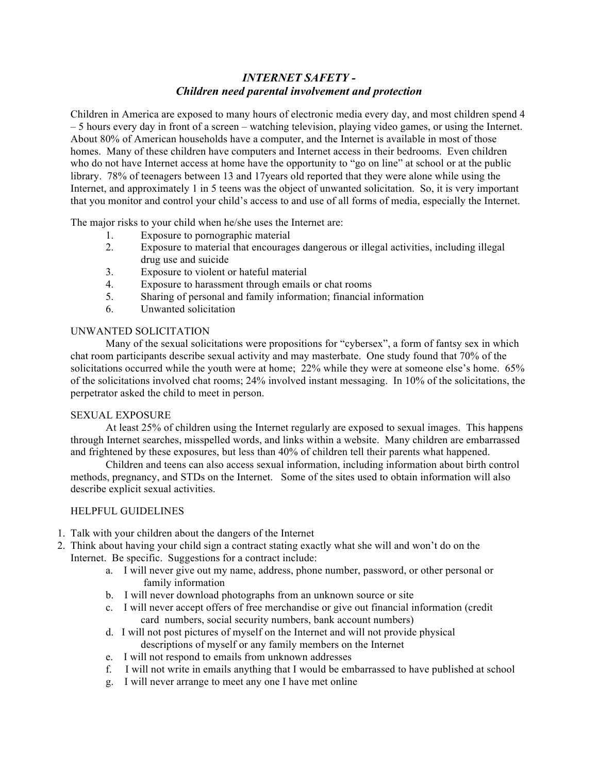## *INTERNET SAFETY - Children need parental involvement and protection*

Children in America are exposed to many hours of electronic media every day, and most children spend 4 – 5 hours every day in front of a screen – watching television, playing video games, or using the Internet. About 80% of American households have a computer, and the Internet is available in most of those homes. Many of these children have computers and Internet access in their bedrooms. Even children who do not have Internet access at home have the opportunity to "go on line" at school or at the public library. 78% of teenagers between 13 and 17years old reported that they were alone while using the Internet, and approximately 1 in 5 teens was the object of unwanted solicitation. So, it is very important that you monitor and control your child's access to and use of all forms of media, especially the Internet.

The major risks to your child when he/she uses the Internet are:

- 1. Exposure to pornographic material
- 2. Exposure to material that encourages dangerous or illegal activities, including illegal drug use and suicide
- 3. Exposure to violent or hateful material
- 4. Exposure to harassment through emails or chat rooms
- 5. Sharing of personal and family information; financial information
- 6. Unwanted solicitation

## UNWANTED SOLICITATION

Many of the sexual solicitations were propositions for "cybersex", a form of fantsy sex in which chat room participants describe sexual activity and may masterbate. One study found that 70% of the solicitations occurred while the youth were at home; 22% while they were at someone else's home. 65% of the solicitations involved chat rooms; 24% involved instant messaging. In 10% of the solicitations, the perpetrator asked the child to meet in person.

## SEXUAL EXPOSURE

At least 25% of children using the Internet regularly are exposed to sexual images. This happens through Internet searches, misspelled words, and links within a website. Many children are embarrassed and frightened by these exposures, but less than 40% of children tell their parents what happened.

Children and teens can also access sexual information, including information about birth control methods, pregnancy, and STDs on the Internet. Some of the sites used to obtain information will also describe explicit sexual activities.

## HELPFUL GUIDELINES

- 1. Talk with your children about the dangers of the Internet
- 2. Think about having your child sign a contract stating exactly what she will and won't do on the Internet. Be specific. Suggestions for a contract include:
	- a. I will never give out my name, address, phone number, password, or other personal or family information
	- b. I will never download photographs from an unknown source or site
	- c. I will never accept offers of free merchandise or give out financial information (credit card numbers, social security numbers, bank account numbers)
	- d. I will not post pictures of myself on the Internet and will not provide physical descriptions of myself or any family members on the Internet
	- e. I will not respond to emails from unknown addresses
	- f. I will not write in emails anything that I would be embarrassed to have published at school
	- g. I will never arrange to meet any one I have met online